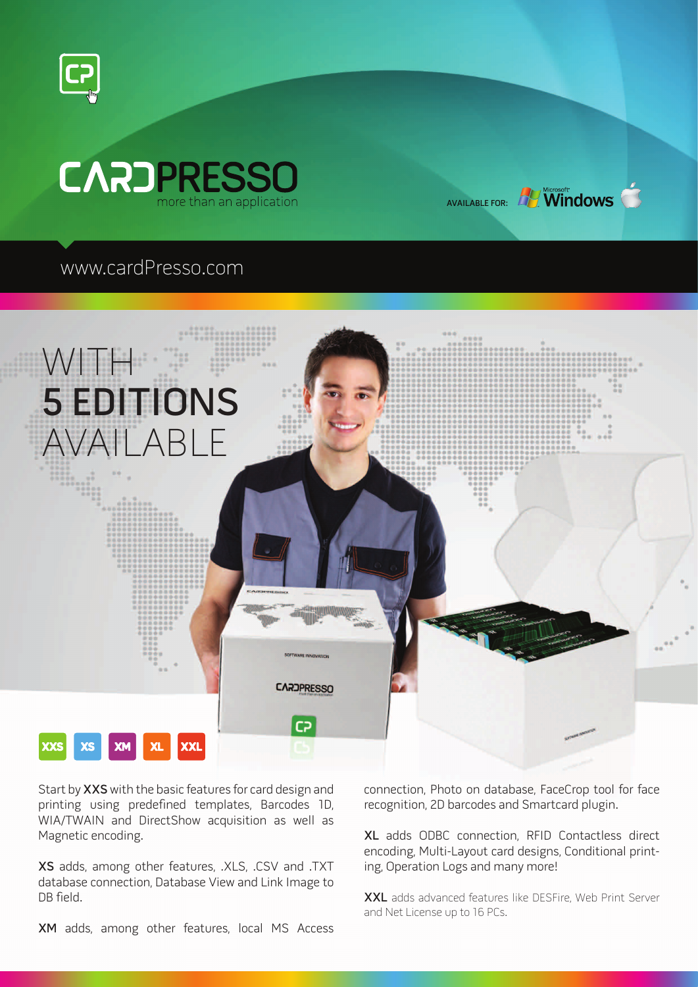



## www.cardPresso.com



Start by XXS with the basic features for card design and printing using predefined templates, Barcodes 1D, WIA/TWAIN and DirectShow acquisition as well as Magnetic encoding.

XS adds, among other features, .XLS, .CSV and .TXT database connection, Database View and Link Image to DB field.

connection, Photo on database, FaceCrop tool for face recognition, 2D barcodes and Smartcard plugin.

AVAILABLE FOR: **AVAILABLE FOR:** 

XL adds ODBC connection, RFID Contactless direct encoding, Multi-Layout card designs, Conditional printing, Operation Logs and many more!

XXL adds advanced features like DESFire, Web Print Server and Net License up to 16 PCs.

XM adds, among other features, local MS Access